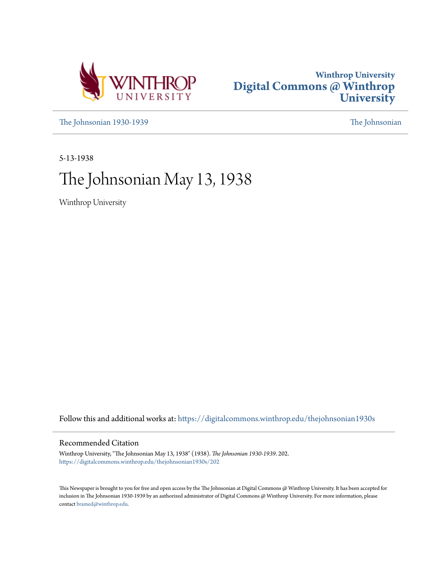



[The Johnsonian 1930-1939](https://digitalcommons.winthrop.edu/thejohnsonian1930s?utm_source=digitalcommons.winthrop.edu%2Fthejohnsonian1930s%2F202&utm_medium=PDF&utm_campaign=PDFCoverPages) [The Johnsonian](https://digitalcommons.winthrop.edu/thejohnsonian_newspaper?utm_source=digitalcommons.winthrop.edu%2Fthejohnsonian1930s%2F202&utm_medium=PDF&utm_campaign=PDFCoverPages)

5-13-1938

# The Johnsonian May 13, 1938

Winthrop University

Follow this and additional works at: [https://digitalcommons.winthrop.edu/thejohnsonian1930s](https://digitalcommons.winthrop.edu/thejohnsonian1930s?utm_source=digitalcommons.winthrop.edu%2Fthejohnsonian1930s%2F202&utm_medium=PDF&utm_campaign=PDFCoverPages)

## Recommended Citation

Winthrop University, "The Johnsonian May 13, 1938" (1938). *The Johnsonian 1930-1939*. 202. [https://digitalcommons.winthrop.edu/thejohnsonian1930s/202](https://digitalcommons.winthrop.edu/thejohnsonian1930s/202?utm_source=digitalcommons.winthrop.edu%2Fthejohnsonian1930s%2F202&utm_medium=PDF&utm_campaign=PDFCoverPages)

This Newspaper is brought to you for free and open access by the The Johnsonian at Digital Commons @ Winthrop University. It has been accepted for inclusion in The Johnsonian 1930-1939 by an authorized administrator of Digital Commons @ Winthrop University. For more information, please contact [bramed@winthrop.edu](mailto:bramed@winthrop.edu).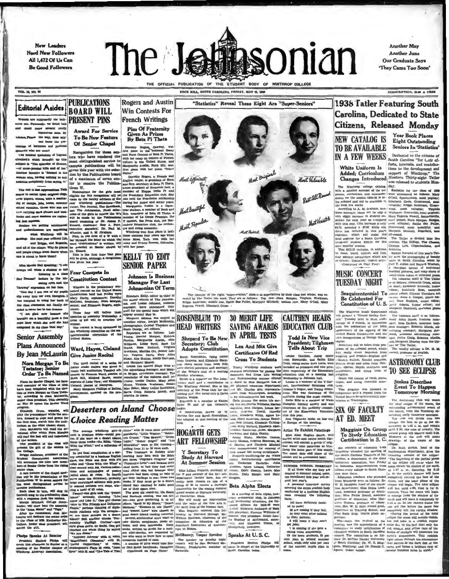New Leaders **Need New Followers** All 1,472 Of Us Can **Be Good Followers** 



ROCK HILL SOUTH CAROLINA FRIDAY, MAY 11, 1938

**Another May Another June Our Graduate Says** 'They Came Too Soon'

**VOL. 18, NO. 24** 

# **Editorial Asides**

m are supposedly use talk- PRESENT PINS ly, we d ald name several overly<br>loquacivus men. By

are the way, does any-

Testator; Senior<br>Order To Be Named

Plans for Genler Chapel, the farth-soprano of Lake View ; and well assembly of the Class of 1824, Oleland, plansk of Hampler and the Class of 1824, Oleland, plansk of Hampler have been chapited with the theory-hampers tra

**Award For Service** To Be New Feature

**PUBLICATIONS** 

**BOARD WILL** 

**Pins Of Fraternity** Given As Prizes<br>By Beta Pi Theta

**Rogers and Austin** 

silence, Plane the way, does any-<br>
censings of horizon As Prizes (16 New Features) (16 Senior Chapel (16 Senior Chapel (16 Senior Chapel (16 Senior Chapel (16 Senior Chapel (16 Senior Chapel (16 Senior Chapel (16 Senior C

Most Por

Shepard To Be New

**Adopts Constitution** 

**Sarah Rosenblum**, rising junior<br>rom Laurens, and Elizabeth Shep-

**Cague** 

Give Jumior Recital (300, Alys Sunter, Emly Harvach (300, automa and Elizabeth Shep)<br>The third recital of a series by dark figures Model, when a series of particles and the series and Markethan and Sunter mass of the seri

# 

an a the state of the two states of the state of the state of the state of the state of the state of the state of the state of the state of the state of the state of the state of the state of the state of the state of the

"Statistics" Reveal These Eight Are "Super-Seniors' **Win Contests For French Writings** 

> Most Original Most Valuable Best all Ros Most Versatche

The identity of the eight "super-seniors." chosen as superiatives by their class hast winter, was vested by The Tatler this week. They are as follows: Top row-Nora Elegan. Virginia Worker Erign Anorman: middle row, Rathe B **CAUTHEN HEADS 30 MERIT LIFE** 

## **EDUCATION CLUB Todd Is New Vice** President; Tilghman<br>Tells About Trip

**Tells About Trip** scans of the coloral perod, which like the first the ring rules.<br>
Tells About Trip scans of the coloral perod, which is the interval activities the total perod, which is the figure of English and the co **Certificates Of Red** 

 $club.$ incl. International Relations Debater's league, and Young Demo- This This program was pla

and Min Alice Huges Smith, we<br>can alice Hughes Smith, we<br>can alice Hughes Smith Car<br>and, Minchel coins and matter gave of original of the<br>seval of throp the latter part of this month of the small<br>finals. We<br>alice the smith

 $\begin{tabular}{l|c|c|c|c} \hline \textbf{SUMMER} & \textbf{SGB001. POBECAST} & \textbf{0} & \textbf{0} & \textbf{0} & \textbf{0} & \textbf{0} & \textbf{0} & \textbf{0} & \textbf{0} & \textbf{0} & \textbf{0} & \textbf{0} & \textbf{0} & \textbf{0} & \textbf{0} & \textbf{0} & \textbf{0} & \textbf{0} & \textbf{0} & \textbf{0} & \textbf{0} & \textbf{0} & \textbf{0} & \textbf{0} & \textbf{0} & \textbf{0} & \text$ 

A personal interview aurery<br>covering the enline student body<br>conducted by a business English<br>class revealed the following

facts:<br>141 have definitely decidava now the counce:<br>
00 are coming if they fall:<br>
34 may come after talking<br>
to their parents:<br>
6 will come if they don't

nt jobs;<br>I is coming if she gets a

1 18 coming is seen a<br>change room achievable, Of the hown atticerate, 23 per<br>cent plan to attend summer<br>sehool, while only mine per annis<br>sehool, while only mine per annis school<br>of the

**1938 Tatler Featuring South** Carolina, Dedicated to State Citizens, Released Monday

> Year Book Places Eight Outstandi n.e Seniors In 'Statistics'

SUBSCRIPTION, SLO A YEAR

**NEW CATALOG IS** 

**TO BE AVAILABLE** 

FIGURE CAPITALION EXPRESS Sensitive in Statistics'<br>
THE CHARGES Sensitive in Statistics'<br>
NA FEW WEEKS South Caroline "for Left ef-<br>
White Uniform Is forcel the citizens of<br>
WHERES South Caroline "for Left ef-<br>
White Unif

Margaret Gambrell, assectate photons . Margaret Gambrell, assectate photons . The Winthrop music department of the color term of the color state of the set of the set of the set of the set of the set of the set of the set constitution serve and<br><mark>constitution</mark> serve and ons will be taken from pro-

with a requ

ists for The T

**ASTRONOMY CLUB TO SEE ECLIPSE** 

> **Stokes Describes** Event To Happen<br>Tomorrow Morning

, mankent advertire.<br>Beiva Craig, Rebec<br>Margaret Moseley we

er is Dr. H. M.

 $\begin{tabular}{ll} \textbf{MIGM} \end{tabular} \begin{tabular}{ll} \textbf{MIGM} \end{tabular} \begin{tabular}{ll} \textbf{MIGM} \end{tabular} \begin{tabular}{ll} \textbf{MIGM} \end{tabular} \begin{tabular}{ll} \textbf{MIGM} \end{tabular} \begin{tabular}{ll} \textbf{MIGM} \end{tabular} \begin{tabular}{ll} \textbf{MIGM} \end{tabular} \begin{tabular}{ll} \hline \textbf{MIGM} \end{tabular} \end{tabular} \begin{tabular}{ll} \hline \textbf{MIGM} \end{tabular} \begin{tabular}{ll} \h$ 

**Contribution and Controlling Controlling and Controlling and Controlling and Controlling SI (** $\mu$ **-<br>
Corrification in St. C., drawing- of the stages of the state of motion<br>
with the method of motion in the state "The beyo** 

oming year. Her cocal city is Delta and Westman (and week,  $\mu$  can also the consequence of the consequence of the consequence of the consequence of the consequence of the consequence of the consequence of the consequence

lta dust from Washington, according

ombie, Catherine Jones, Margaret

were recommended for renewal of the aware the away or Hitlande.<br>Students qualifying for the Water Sately Instructorship certificates<br>are: Instructorship certificates<br>are Catherine Easterlin, Julia 1.<br>Demisa. Agues Leiand,

# $\begin{tabular}{lcccc} \textbf{Tarity} & \textbf{Winlltrop} & \textbf{studends} & \textbf{were} \\ \textbf{a'suured certificate for passing the American Red Group \\ and Instructorably course offerred to a first level, in April by Mau Margaret Lee of \\ a April by Mau Margaret Lee of \\ \end{tabular}$ the physical education department incl.

league.<br>
A constitution, drawn up by<br>
Martha Orr and Sarah Rosenblum.<br>
was udopted at this meeting of the<br>
club.

**SAVING AWARDS** 

**IN APRIL TESTS** 

Lea And Mix Give

**Cross To Students** 

Norwood, and Edith Gentry.<br>Amaz White, Martha Genton, 1979.<br>Wary Gaston, Virginia Simmons, M.<br>C. Martin, and Harjorie Mitchell<br>Wire recommended for renewal of new senior life saving certificates.

Miss Lillian Hoparth, accretary Chomse, Agues Leiand, Catherine Inc. 1111. Control in the Miss Leian Marketine (and member of the Han are Lucay, has related the state of the stress and Marketine control in the control inc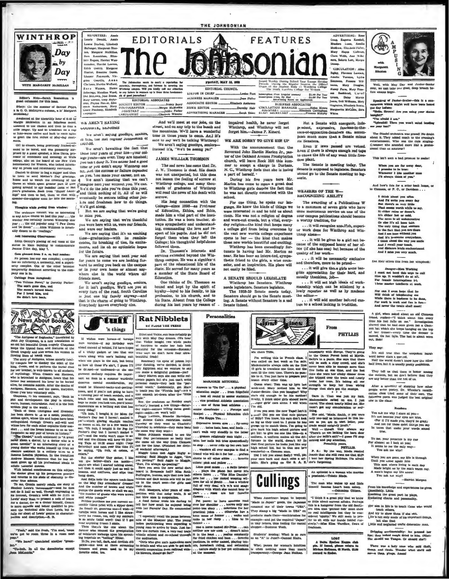

# Editor's Note-Sarah Ro

**Diary:** (In the manner of Sams<br>Ia O. O. Malntyres column, a la' el Pepya,

led at the unearthly hour of 6:45 by Mented at the uncertainty nour or we out<br>of the head of the channel and then to done of the total contract and then to done a<br>ionger. Up and to breaktant on a cup<br>ionger. Up and to breaktant on a cup<br>and the first indicat

OII to classes, being previously framed-ai-<br>and to be bored, and was pleasantly surfaced by a guess appeaker, a hims Daya, gromor of economics and sociology at Wells<br>also control of the board of the New York Press on the b

We present the appearance of the access or failure depended<br>them to and Moheler's Day greuns. on you. Not measure you can have a sent to be a super set of the second to watch the crowning of the app. Not aren't insuring th

#### Thoughts while gazing from win

The orchests while gating from window:<br>The orchestra concert was an interesting<br>is any Artist course we had this year ... the<br>resher has certainly favored Winkingo interesting<br>ear ... the old popular song "I Pav Down"...<br>A year<br>and Go H  $\sim$ 

#### Add Interesting Observances:

Ass assertsing outs - means:<br>Edith Gentry's placing of red roses at the<br>tatue in Main building to commensorate<br>sume D'Arc day, May 7.

#### Gets sleaned from 2 a. m. hall sea

issued trum  $\bullet$  me complex; *t* reryon<br>steriority, a normality, and a superiplex.<br>if the other become of the other become<br>ily dominant acrording to the com perau<br>1 Infr rson ma any eme<br>nferiority, a norn<br>mplex. One or<br>rily dominant ac arily d pany one to to. tings from Serapbook rothy Parker:

Two Volume Novel," hy Dor<br>The sun's gone dim, and<br>The sun's gone dim, and<br>The mosa's turned black;<br>For I loved him, and<br>He didn't love back.

News About Books

"The Antigune of Sepheeles," translated by<br>the Jay Chapman, is a new translation of John Jay Chann

John Jay Chromes and the best control of the state of the state and the best best property compared to the control of the state of the state of the state of the state of the state of the state of the state of the state of be, Haemon, and the queen. Euryd on goes into voluntary exile.

Cross (rest into volutions) refine. Cross (rest into the play it also computed the play it also the rest window when the play it also the rest within play in the world. . The cross above the model of the rest of the model for<br>probable as any pair of terms in this<br>contribution  $\mathcal{I}^{\alpha}$ . The CHosicity much addition<br>of  $\alpha$  with a gradient from the standard more than<br> $\alpha$  and the gradient of the standard more of standard<br>in the pair of a

tor gives up his prosperous practice

and relation to his state or constant to his state of the state of the state of the state of the does not a constant in the state of the history of the half so with Though engrousing in the state of the line state of the

# "Yeah," said the fresh, "I'm mad, 'cause

We have?' cinculated snother "green-

"Un-huh. In all the dormitories except



 $\begin{minipage}{0.9\textwidth} \begin{tabular}{lcccc} \textbf{A} & \textbf{B} & \textbf{B} & \textbf{C} & \textbf{B} & \textbf{C} & \textbf{B} & \textbf{B} & \textbf{B} & \textbf{B} & \textbf{B} & \textbf{B} \\ \textbf{M} & \textbf{A} & \textbf{A} & \textbf{A} & \textbf{B} & \textbf{B} & \textbf{B} & \textbf{B} & \textbf{B} & \textbf{B} & \textbf{B} \\ \textbf{D} & \textbf{A} & \textbf{B} & \textbf{B} & \textbf{B} & \$ EDITORIAL ASSOCIATES Nancy Beaty PRODUCERT EDITOR .Margie McJ 

#### WE AREN'T SAYING **HUUUBIE, SENIURS**

We aren't saying goodbye, senie th, the last regular Jonn to gain  $1337 - 38$ 

We aren't bewaiting the fact that lege years-are over. They are innahed; you can't deny it. You enter had a good time or you didn't enjoy Winthrop one<br>bit. And the success or failure depended

it re and freshmen how to do things. We'll get along.

But we are saying that we're going to miss you.

We are saying that we're thankful you were here with us, were our friends,

and were our leaders. and were our leaders.<br>We are saying that it's an exciting<br>time-graduation-with its reminis-<br>cences, its breaking of ties, its exciteand its oh so optimistic hopes

for the future. We are saying that next year and for years to come we are looking for-<br>ward to seeing you back on the campus or in your own home or almost anywhere else<br>friends meet. else in the world where old

friends meet.<br>We aren't saying goodbye, seniors,<br>for it isn't goodbye. We'll tee you at<br>every turn of the road. South Carolina<br>is just one big family anyway—and that is the charm of going to Winthrop Everybody knows everyhody e

**tuff** 

'n things

And we'll meet at our jobs, on the street, and on any trip to the beach and intains. Wo'll have a wonderful the mountains.  $w \approx u$  have a wonderful<br>time in those years to come. And it's<br>sate to say we'll be talking Winthrop! a Ari it's

We aren't saying goodbye, senio

#### **JAMES WILLIAM THOMSON**

The sad news has come that Dr. J. W. Thomson is dead. His death J. W. Inomson is dead. His death<br>was not unexpected, but this does<br>not lessen the feeling of sorrow at<br>Winthrop college, and many thou-<br>sands of graduates of Winthrop will read the news of his death with

His long connection with the since 1898 as Professor of Education, Ethics, and Bible<br>made him a vital part of the institution. He was a born teacher, alays sympathetic and understanding, commanding the love and respect of his pupils. And he did not forget them when they left the College; his thoughtful helpfulness

followed them.<br>Dr. Thomson's interests and ervices extended beyond the Winthrop campus. He was a significant<br>part of the educational life of the State. He served for many years as a member of the State Board of **Inpation** 

One thinks of Dr. Thomson as bound and kept by the spirit of loyalty-loyal to his family, to his profession, to his church, and to his State. Absent from the College during his last years by reason of

**Rat Nibblets** 

**SE FLOSS THE FRESH** 

beautiful front!<br>
Nexember (in spite of poleon ivy)<br>
your dancing, we've decided, is decid-<br>
cdiy Egyptian and we wenture to say<br>
your make a delightful goddens-yes?<br>
Your make a delightful goddens-yes?<br>
Mary Marret says a

impaired health, he never forgot Winthrop, and Winthrop will not forget him. James P. Kinard.

**Joan Philar** 

abeth Ander

THE JOHNSONIAN

DAY, MAY 11, 1939

EDITORIAL COUNCIL

LINTOR IN CHIEF

**HUSINESS MANAGER** 

NEWS EDITOR

### WE ARE SORRY TO GIVE HIM UP

**FEATURES** 

ouse Fant Subscription Price (regular semi-a)<br>man Philee Soundription Fring, by Mail .<br>Advertising States on App

With the announcement that the<br>Reverend John Hardin Marlon Jr., pastor of the Oakland Avenue Presbyterian<br>church, will leave Rock Hill this sum-.<br>Han mer to accept a charge in Durham,<br>N. C., Winthrop feels that she is losing<br>a part of herself.

During his five years here Mr.<br>Marlon has come to mean a great deal to Winthrop gurls despite the fact that he was not directly connected with the

For one thing, he spoke our language. He knew the kinds of things we were interested in and he told us about them. His was not a religion of dogma and worn-out creeds, but a vital, every-<br>day religion-the kind that keeps many a college girl from being overcome by a conege garn from worlds college experience<br>opens to her -- the kind that makes<br>these new worlds beautiful and exciting.

Winthrop has been exceedingly for-<br>tate in having had Mr. Marion so near. He has been an interested, sympathat is the first to the girls, a wise coun-<br>selor, and an inspiration. His place will<br>not easily be filled.

A SENATE SHOULD LEGISLATE Winthrop has Senators. Winthrop

renda legislators. Senators legislate.<br>The 1938-39 Senate meets today.<br>Senators should go to the Senate meeting. A Senate without Senators is a sad

te jindaad  $\epsilon$ **CONTRACTOR** 

Craug, Engenia Kendall,<br>Meadors Lunn, Amelia<br>Muldrow, Ehz-beth-Fuller, Mary Hayes Calboun,<br>Clara Webb, Ann Wibimon, Soderia Lott, Margie<br>Denne, CIRCULATION: AN Entretainment Lawson, Amelia Varonce, Lydia<br>Simmona, Frances Wil-

ng School Year Except Hosiday<br>e Regular Season the Official<br>ent Body et Winthrop College<br>robina College for Women  $M_{\rm BH}$ ny Farm, Mary Fran<br>Bankhead, Caro sumy Farm, Bary France<br>
con Bankhead, Carol<br>
Green, Daisy Martin<br>
Jones, Bell Williams, Mary<br>
Hispaton, Elizabeth Rents, \$1.00 Per Year on, Elizabeth<br>vita McCant<br>vita McCant **NUMBER ASSOCIATES u.** Sa

> But a Senate with energatic, indeexpressive, fearly pi ndent,<br>suce-of-opp u-in-thers ca., accor push much more than a Senate minus its Senators.

> Even if laws passed are vetoed. Even if there is always enough red tape to choke the life of any weak little freedom plant.

The Senate is meeting today. The<br>Senate is supposed to legislate. Senators **tars** should go to the Senate meeting to leg-

#### **WEARERS OF THE W. RECUGNIZING ABILITY**

The awarding of a Publications W to a miximum of seven girls who have<br>the mentorious service on one of the tour campus publications should become<br>a worthy tradition, for

... it will recognize unsalfab, superiwork done for Winthrop and Winthrop alone

... it will be given to a girl not be cause of the supposed honor of her ofquality of her work

... it will be necessarily exclusive<br>and therefore, more to be prized—

... it will give those girls some tangible appreciation for their hard, and usually thankless, job-

. it will set high ideals of work-<br>hip which can be attained by a lowly reporter as well as by mada the

.. it will add another beloved eustom to a school lacking in tradition.

From

**PHYLLIS** 



Well, with May Day and Juniorwer, we can take one good, deep exams begin.

Speaking of Janior-Scale varantion which might well have been "Hello, Brown! Are you using your size

nelent words are you many ;<br>edght?"<br>"Spiendid! Then you won't suf<br>e your text"

The Citadel orchestra was grandi No do<br>about it. They added much to the evening<br>catrialmenci, Who was the cute ainglu<br>clummer who sounded more like a prof<br>sional than an annateur?

This isn't such a had promise to make!

When you are far away dear,<br>I pramies to be true:<br>Whenever I him another man<br>I'll always think of you."

And how's this for a setter back home Clemeon, or P. C., or Davidson . . . to Cim

ements, or  $x \cdot v \cdot v$ , or two<br>version  $v$ , and the state of the state of the state<br> $\frac{1}{2}$  and  $\frac{1}{2}$  and  $\frac{1}{2}$  and  $\frac{1}{2}$  and the<br> $\frac{1}{2}$  and  $\frac{1}{2}$  and  $\frac{1}{2}$  and  $\frac{1}{2}$  and  $\frac{1}{2}$ <br>in the chiner

Hair offers this from her so

Danger-Mien Working<br>I must not heed this urge to call<br>Illm up. It wouldn't do at all,<br>For female interruptions to here<br>I here master intellects at work.

Nor can I even hepe that he<br>Will think of telephoning me<br>While there is business to be dens,<br>For work is work and fan is fun-<br>And nesse the twals abili

A girl, when asked about an eld Otenson<br>friend, replied- $-1$  think about him every time his hat fails on me." Investigation<br>showed that he had once given her a Chipn-<br>showed that he had once given her a Chipn-<br>on hat whic out, Rob

They my:

It's still true that the unspoken harsh<br>word never stars a que:rel,<br>Half the world d\_csn't know how the other<br>half lives, but it is usually pretty sampleious.

They tell us that there is honor among<br>the cutlaws, but we don't believe that they<br>are any better than the rest of us.

After a semester of studying how other<br>people write poetry, Dr. Wheele's versification class tried some of their own. The wing poem was judged the b

#### Rondeau

Fou ask me why I stare at you-<br>It's not because you eyes are hine,<br>It's not because your eyes are hine,<br> $\sqrt{R}$  if it in made you, they'd be gray,<br>And not for those quiet kings you any<br>In tones that make your words sound

To me, your presence is my cue<br>for allemes; so I hook at you;<br>It seems to me the only way-<br>You ask me why!

When you are gene, my life is through<br>Until you come again into<br>This apot where living is each day<br>Made bright as by the sun's warm ray.

A man's begun my life anew!<br>You ask n.e why? -Harriet Morgan

um his knowledge and experiences he gives,<br>assifishly, Little<br>salising the great part he plays,<br>disting charm and personality.

Her aim in life is to teach those who w

teach others,<br>And try to show them if she ean,<br>Life is not only made of big impertant things<br>but she that the she that determine man,<br>Little and neglected traits determine man,

Dripping sentimentality: Ice pressed her<br>lips; they looked reagh dried to him. (Filat:<br>She should use Tangue. Or should ahr?)

There was a lady once who said that,<br>heap, and thoda. Wooder what she'd call<br>so-a thap, p'raps. Amen!

An chere Tille, in critical time and the boundary with Slowge. They're going in the vertex of the sole of the second Person and the second in the first control of the second in the first of the second in the first propert 

CE

**Personalities**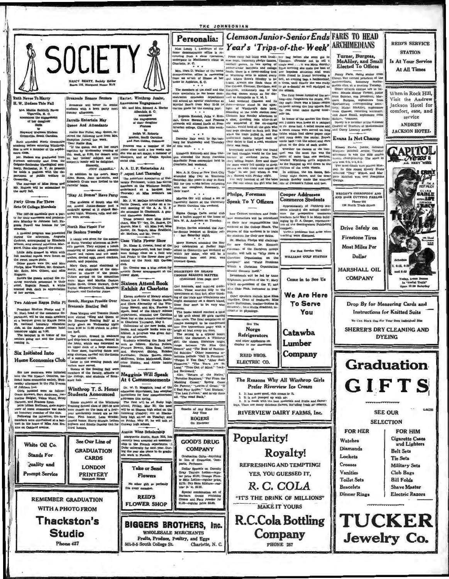